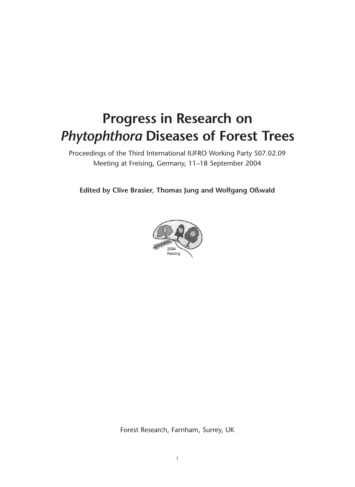# **Progress in Research on** *Phytophthora* **Diseases of Forest Trees**

Proceedings of the Third International IUFRO Working Party S07.02.09 Meeting at Freising, Germany, 11–18 September 2004

**Edited by Clive Brasier, Thomas Jung and Wolfgang Oßwald**



Forest Research, Farnham, Surrey, UK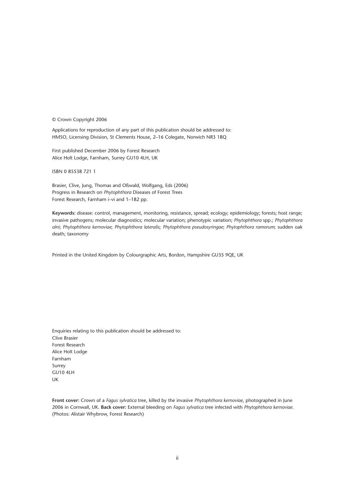© Crown Copyright 2006

Applications for reproduction of any part of this publication should be addressed to: HMSO, Licensing Division, St Clements House, 2–16 Colegate, Norwich NR3 1BQ

First published December 2006 by Forest Research Alice Holt Lodge, Farnham, Surrey GU10 4LH, UK

ISBN 0 85538 721 1

Brasier, Clive, Jung, Thomas and Oßwald, Wolfgang, Eds (2006) Progress in Research on *Phytophthora* Diseases of Forest Trees Forest Research, Farnham i–vi and 1–182 pp.

**Keywords:** disease: control, management, monitoring, resistance, spread; ecology; epidemiology; forests; host range; invasive pathogens; molecular diagnostics; molecular variation; phenotypic variation; *Phytophthora* spp.; *Phytophthora alni*; *Phytophthora kernoviae*; *Phytophthora lateralis*; *Phytophthora pseudosyringae*; *Phytophthora ramorum*; sudden oak death; taxonomy

Printed in the United Kingdom by Colourgraphic Arts, Bordon, Hampshire GU35 9QE, UK

Enquiries relating to this publication should be addressed to: Clive Brasier Forest Research Alice Holt Lodge Farnham Surrey GU10 4LH UK

**Front cover:** Crown of a *Fagus sylvatica* tree, killed by the invasive *Phytophthora kernoviae*, photographed in June 2006 in Cornwall, UK. **Back cover:** External bleeding on *Fagus sylvatica* tree infected with *Phytophthora kernoviae*. (Photos: Alistair Whybrow, Forest Research)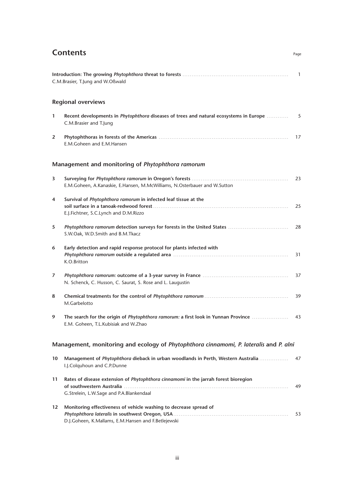## **Contents . . . . . . . . . . . . . . . . . . . . . . . . . . . . . . . . . . . . . . . . . . . . . . . . . . . . . . . . . . . . . . . . . . . . . . . . .** Page

|                   | C.M.Brasier, T.Jung and W.Oßwald                                                                                                  | $\overline{1}$ |
|-------------------|-----------------------------------------------------------------------------------------------------------------------------------|----------------|
|                   | <b>Regional overviews</b>                                                                                                         |                |
| $\mathbf{1}$      | Recent developments in Phytophthora diseases of trees and natural ecosystems in Europe<br>C.M.Brasier and T.Jung                  | 5              |
| $\overline{2}$    | E.M.Goheen and E.M.Hansen                                                                                                         | 17             |
|                   | Management and monitoring of Phytophthora ramorum                                                                                 |                |
| 3                 | E.M.Goheen, A.Kanaskie, E.Hansen, M.McWilliams, N.Osterbauer and W.Sutton                                                         | 23             |
| 4                 | Survival of Phytophthora ramorum in infected leaf tissue at the<br>E.J.Fichtner, S.C.Lynch and D.M.Rizzo                          | 25             |
| 5                 | S.W.Oak, W.D.Smith and B.M.Tkacz                                                                                                  | 28             |
| 6                 | Early detection and rapid response protocol for plants infected with<br>K.O.Britton                                               | 31             |
| 7                 | N. Schenck, C. Husson, C. Saurat, S. Rose and L. Laugustin                                                                        | 37             |
| 8                 | M.Garbelotto                                                                                                                      | 39             |
| 9                 | The search for the origin of <i>Phytophthora ramorum: a</i> first look in Yunnan Province<br>E.M. Goheen, T.L.Kubisiak and W.Zhao | 43             |
|                   | Management, monitoring and ecology of Phytophthora cinnamomi, P. lateralis and P. alni                                            |                |
| 10                | Management of Phytophthora dieback in urban woodlands in Perth, Western Australia<br>I.J.Colquhoun and C.P.Dunne                  | 47             |
| 11                | Rates of disease extension of Phytophthora cinnamomi in the jarrah forest bioregion<br>G.Strelein, L.W.Sage and P.A.Blankendaal   | 49             |
| $12 \overline{ }$ | Monitoring effectiveness of vehicle washing to decrease spread of<br>D.J.Goheen, K.Mallams, E.M.Hansen and F.Betlejewski          | 53             |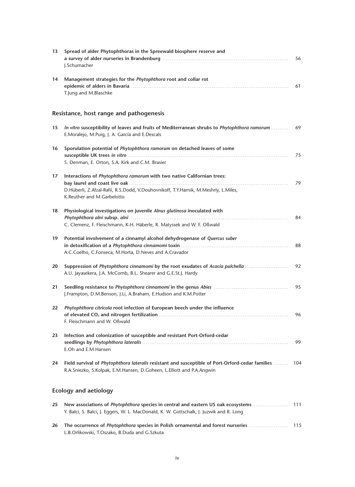| 13 | Spread of alder Phytophthoras in the Spreewald biosphere reserve and<br>J.Schumacher                                                                                                         | 56 |
|----|----------------------------------------------------------------------------------------------------------------------------------------------------------------------------------------------|----|
| 14 | Management strategies for the Phytophthora root and collar rot<br>T.Jung and M.Blaschke                                                                                                      | 61 |
|    | Resistance, host range and pathogenesis                                                                                                                                                      |    |
| 15 | In vitro susceptibility of leaves and fruits of Mediterranean shrubs to Phytophthora ramorum<br>E.Moralejo, M.Puig, J. A. García and E.Descals                                               | 69 |
| 16 | Sporulation potential of Phytophthora ramorum on detached leaves of some                                                                                                                     | 75 |
|    | S. Denman, E. Orton, S.A. Kirk and C.M. Brasier                                                                                                                                              |    |
| 17 | Interactions of Phytophthora ramorum with two native Californian trees:<br>D.Hüberli, Z.Afzal-Rafii, R.S.Dodd, V.Douhovnikoff, T.Y.Harnik, M.Meshriy, L.Miles,<br>K.Reuther and M.Garbelotto | 79 |
| 18 | Physiological investigations on juvenile Alnus glutinosa inoculated with                                                                                                                     |    |
|    | C. Clemenz, F. Fleischmann, K-H. Häberle, R. Matyssek and W. F. Oßwald                                                                                                                       | 84 |
| 19 | Potential involvement of a cinnamyl alcohol dehydrogenase of Quercus suber<br>A.C.Coelho, C.Fonseca, M.Horta, D.Neves and A.Cravador                                                         | 88 |
| 20 | Suppression of Phytophthora cinnamomi by the root exudates of Acacia pulchella<br>A.U. Jayasekera, J.A. McComb, B.L. Shearer and G.E.St.J. Hardy                                             | 92 |
| 21 | J.Frampton, D.M.Benson, J.Li, A.Braham, E.Hudson and K.M.Potter                                                                                                                              | 95 |
| 22 | Phytophthora citricola root infection of European beech under the influence<br>F. Fleischmann and W. Oßwald                                                                                  | 96 |
| 23 | Infection and colonization of susceptible and resistant Port-Orford-cedar<br>E.Oh and E.M.Hansen                                                                                             | 99 |
| 24 | Field survival of Phytophthora lateralis resistant and susceptible of Port-Orford-cedar families  104<br>R.A.Sniezko, S.Kolpak, E.M.Hansen, D.Goheen, L.Elliott and P.A.Angwin               |    |
|    | <b>Ecology and aetiology</b>                                                                                                                                                                 |    |

| 25 New associations of <i>Phytophthora</i> species in central and eastern US oak ecosystems <i>manumeral</i> 111 |  |
|------------------------------------------------------------------------------------------------------------------|--|
| Y. Balci, S. Balci, J. Eggers, W. L. MacDonald, K. W. Gottschalk, J. Juzwik and R. Long                          |  |
|                                                                                                                  |  |
| L.B.Orlikowski, T.Oszako, B.Duda and G.Szkuta                                                                    |  |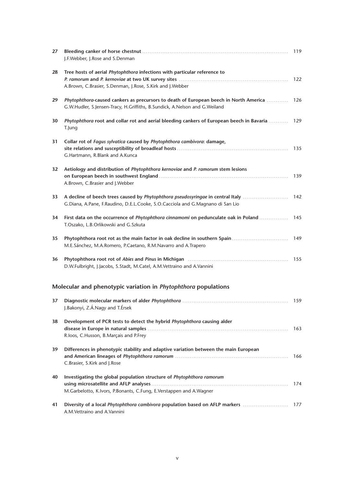| 27              | J.F.Webber, J.Rose and S.Denman                                                                                                                                     | 119 |
|-----------------|---------------------------------------------------------------------------------------------------------------------------------------------------------------------|-----|
| 28              | Tree hosts of aerial Phytophthora infections with particular reference to<br>A.Brown, C.Brasier, S.Denman, J.Rose, S.Kirk and J.Webber                              | 122 |
| 29              | Phytophthora-caused cankers as precursors to death of European beech in North America<br>G.W.Hudler, S.Jensen-Tracy, H.Griffiths, B.Sundick, A.Nelson and G.Weiland | 126 |
| 30              | Phytophthora root and collar rot and aerial bleeding cankers of European beech in Bavaria<br>T.Jung                                                                 | 129 |
| 31              | Collar rot of Fagus sylvatica caused by Phytophthora cambivora: damage,<br>G.Hartmann, R.Blank and A.Kunca                                                          | 135 |
| 32 <sub>2</sub> | Aetiology and distribution of Phytophthora kernoviae and P. ramorum stem lesions<br>A.Brown, C.Brasier and J.Webber                                                 | 139 |
| 33              | A decline of beech trees caused by Phytophthora pseudosyringae in central Italy<br>G.Diana, A.Pane, F.Raudino, D.E.L.Cooke, S.O.Cacciola and G.Magnano di San Lio   | 142 |
| 34              | First data on the occurrence of Phytophthora cinnamomi on pedunculate oak in Poland<br>T.Oszako, L.B.Orlikowski and G.Szkuta                                        | 145 |
| 35              | Phytophthora root rot as the main factor in oak decline in southern Spain<br>M.E.Sánchez, M.A.Romero, P.Caetano, R.M.Navarro and A.Trapero                          | 149 |
| 36              | D.W.Fulbright, J.Jacobs, S.Stadt, M.Catel, A.M.Vettraino and A.Vannini                                                                                              | 155 |
|                 | Molecular and phenotypic variation in <i>Phytophthora</i> populations                                                                                               |     |
| 37              | J.Bakonyi, Z.Á.Nagy and T.Érsek                                                                                                                                     | 159 |
| 38              | Development of PCR tests to detect the hybrid Phytophthora causing alder<br>R.loos, C.Husson, B.Marçais and P.Frey                                                  | 163 |
| 39              | Differences in phenotypic stability and adaptive variation between the main European<br>C.Brasier, S.Kirk and J.Rose                                                | 166 |
| 40              | Investigating the global population structure of Phytophthora ramorum<br>M.Garbelotto, K.Ivors, P.Bonants, C.Fung, E.Verstappen and A.Wagner                        | 174 |
| 41              | A.M.Vettraino and A.Vannini                                                                                                                                         |     |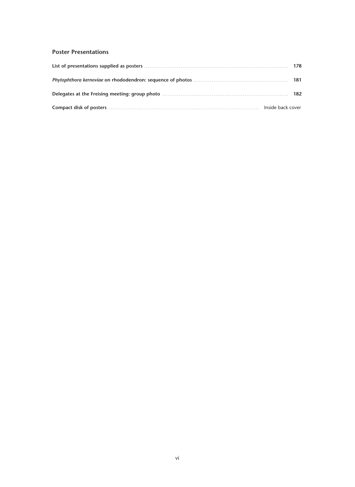#### **Poster Presentations**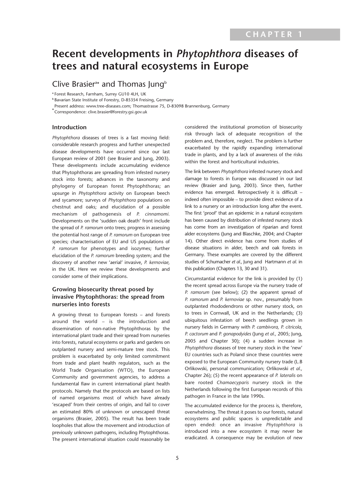# **Recent developments in** *Phytophthora* **diseases of trees and natural ecosystems in Europe**

### Clive Brasier<sup>a\*</sup> and Thomas Jung<sup>b</sup>

**<sup>a</sup>** Forest Research, Farnham, Surrey GU10 4LH, UK

**<sup>b</sup>** Bavarian State Institute of Forestry, D-85354 Freising, Germany

Present address: www.tree-diseases.com; Thomastrasse 75, D-83098 Brannenburg, Germany

**\***Correspondence: clive.brasier@forestry.gsi.gov.uk

#### **Introduction**

*Phytophthora* diseases of trees is a fast moving field: considerable research progress and further unexpected disease developments have occurred since our last European review of 2001 (see Brasier and Jung, 2003). These developments include accumulating evidence that Phytophthoras are spreading from infested nursery stock into forests; advances in the taxonomy and phylogeny of European forest Phytophthoras; an upsurge in *Phytophthora* activity on European beech and sycamore; surveys of *Phytophthora* populations on chestnut and oaks; and elucidation of a possible mechanism of pathogenesis of *P. cinnamomi.* Developments on the 'sudden oak death' front include the spread of *P. ramorum* onto trees; progress in assessing the potential host range of *P. ramorum* on European tree species; characterisation of EU and US populations of *P. ramorum* for phenotypes and isozymes; further elucidation of the *P. ramorum* breeding system; and the discovery of another new 'aerial' invasive, *P. kernoviae,* in the UK. Here we review these developments and consider some of their implications.

#### **Growing biosecurity threat posed by invasive Phytophthoras: the spread from nurseries into forests**

A growing threat to European forests – and forests around the world – is the introduction and dissemination of non-native Phytophthoras by the international plant trade and their spread from nurseries into forests, natural ecosystems or parks and gardens on outplanted nursery and semi-mature tree stock. This problem is exacerbated by only limited commitment from trade and plant health regulators, such as the World Trade Organisation (WTO), the European Community and government agencies, to address a fundamental flaw in current international plant health protocols. Namely that the protocols are based on lists of named organisms most of which have already 'escaped' from their centres of origin, and fail to cover an estimated 80% of unknown or unescaped threat organisms (Brasier, 2005). The result has been trade loopholes that allow the movement and introduction of previously unknown pathogens, including Phytophthoras. The present international situation could reasonably be

considered the institutional promotion of biosecurity risk through lack of adequate recognition of the problem and, therefore, neglect. The problem is further exacerbated by the rapidly expanding international trade in plants, and by a lack of awareness of the risks within the forest and horticultural industries.

The link between *Phytophthora* infested nursery stock and damage to forests in Europe was discussed in our last review (Brasier and Jung, 2003). Since then, further evidence has emerged. Retrospectively it is difficult – indeed often impossible – to provide direct evidence of a link to a nursery or an introduction long after the event. The first 'proof' that an epidemic in a natural ecosystem has been caused by distribution of infested nursery stock has come from an investigation of riparian and forest alder ecosystems (Jung and Blaschke, 2004; and Chapter 14). Other direct evidence has come from studies of disease situations in alder, beech and oak forests in Germany. These examples are covered by the different studies of Schumacher *et al.,* Jung and Hartmann *et al.* in this publication (Chapters 13, 30 and 31).

Circumstantial evidence for the link is provided by (1) the recent spread across Europe via the nursery trade of *P. ramorum* (see below); (2) the apparent spread of *P. ramorum* and *P. kernoviae* sp. nov., presumably from outplanted rhododendrons or other nursery stock, on to trees in Cornwall, UK and in the Netherlands; (3) ubiquitous infestation of beech seedlings grown in nursery fields in Germany with *P. cambivora, P. citricola, P. cactorum* and *P. gonapodyides* (Jung *et al.,* 2005; Jung, 2005 and Chapter 30); (4) a sudden increase in *Phytophthora* diseases of tree nursery stock in the 'new' EU countries such as Poland since these countries were exposed to the European Community nursery trade (L.B Orlikowski, personal communication; Orlikowski *et al.,* Chapter 26); (5) the recent appearance of *P. lateralis* on bare rooted *Chamaecyparis* nursery stock in the Netherlands following the first European records of this pathogen in France in the late 1990s.

The accumulated evidence for the process is, therefore, overwhelming. The threat it poses to our forests, natural ecosystems and public spaces is unpredictable and open ended: once an invasive *Phytophthora* is introduced into a new ecosystem it may never be eradicated. A consequence may be evolution of new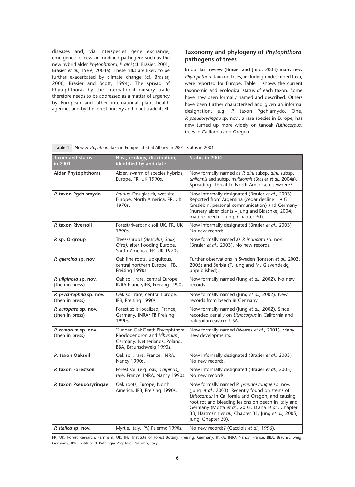diseases and, via interspecies gene exchange, emergence of new or modified pathogens such as the new hybrid alder *Phytophthora, P. alni* (cf. Brasier, 2001; Brasier *et al.,* 1999, 2004a). These risks are likely to be further exacerbated by climate change (cf. Brasier, 2000; Brasier and Scott, 1994). The spread of Phytophthoras by the international nursery trade therefore needs to be addressed as a matter of urgency by European and other international plant health agencies and by the forest nursery and plant trade itself.

#### **Taxonomy and phylogeny of** *Phytophthora* **pathogens of trees**

In our last review (Brasier and Jung, 2003) many new *Phytophthora* taxa on trees, including undescribed taxa, were reported for Europe. Table 1 shows the current taxonomic and ecological status of each taxon. Some have now been formally named and described. Others have been further characterised and given an informal designation, e.g. *P.* taxon Pgchlamydo*.* One, *P. pseudosyringae* sp. nov., a rare species in Europe, has now turned up more widely on tanoak *(Lithocarpus)* trees in California and Oregon.

| <b>Taxon and status</b><br>in 2001          | Host, ecology, distribution,<br>identified by and date                                                                     | Status in 2004                                                                                                                                                                                                                                                                                                                                  |
|---------------------------------------------|----------------------------------------------------------------------------------------------------------------------------|-------------------------------------------------------------------------------------------------------------------------------------------------------------------------------------------------------------------------------------------------------------------------------------------------------------------------------------------------|
| <b>Alder Phytophthoras</b>                  | Alder, swarm of species hybrids,<br>Europe. FR, UK 1990s.                                                                  | Now formally named as P. alni subsp. alni, subsp.<br>uniformis and subsp. multiformis (Brasier et al., 2004a).<br>Spreading. Threat to North America, elsewhere?                                                                                                                                                                                |
| P. taxon Pgchlamydo                         | Prunus, Douglas-fir, wet site,<br>Europe, North America. FR, UK<br>1970s.                                                  | Now informally designated (Brasier et al., 2003).<br>Reported from Argentina (cedar decline - A.G.<br>Greslebin, personal communication) and Germany<br>(nursery alder plants - Jung and Blaschke, 2004;<br>mature beech - Jung, Chapter 30).                                                                                                   |
| P. taxon Riversoil                          | Forest/riverbank soil UK. FR, UK<br>1990s.                                                                                 | Now informally designated (Brasier et al., 2003).<br>No new records.                                                                                                                                                                                                                                                                            |
| P. sp. O-group                              | Trees/shrubs (Aesculus, Salix,<br>Olea), after flooding Europe,<br>South America. FR, UK 1970s.                            | Now formally named as P. inundata sp. nov.<br>(Brasier et al., 2003). No new records.                                                                                                                                                                                                                                                           |
| P. quercina sp. nov.                        | Oak fine roots, ubiquitous,<br>central northern Europe. IFB,<br>Freising 1990s.                                            | Further observations in Sweden (Jönsson et al., 2003,<br>2005) and Serbia (T. Jung and M. Glavendekiç,<br>unpublished).                                                                                                                                                                                                                         |
| P. uliginosa sp. nov.<br>(then in press)    | Oak soil, rare, central Europe.<br>INRA France/IFB, Freising 1990s.                                                        | Now formally named (Jung et al., 2002). No new<br>records.                                                                                                                                                                                                                                                                                      |
| P. psychrophila sp. nov.<br>(then in press) | Oak soil rare, central Europe.<br>IFB, Freising 1990s.                                                                     | Now formally named (Jung et al., 2002). New<br>records from beech in Germany.                                                                                                                                                                                                                                                                   |
| P. europaea sp. nov.<br>(then in press)     | Forest soils localized, France,<br>Germany. INRA/IFB Freising<br>1990s.                                                    | Now formally named (Jung et al., 2002). Since<br>recorded aerially on Lithocarpus in California and<br>oak soil in eastern USA.                                                                                                                                                                                                                 |
| P. ramorum sp. nov.<br>(then in press)      | 'Sudden Oak Death Phytophthora'<br>Rhododendron and Viburnum,<br>Germany, Netherlands, Poland.<br>BBA, Braunschweig 1990s. | Now formally named (Werres et al., 2001). Many<br>new developments.                                                                                                                                                                                                                                                                             |
| P. taxon Oaksoil                            | Oak soil, rare, France. INRA,<br>Nancy 1990s.                                                                              | Now informally designated (Brasier et al., 2003).<br>No new records.                                                                                                                                                                                                                                                                            |
| P. taxon Forestsoil                         | Forest soil (e.g. oak, Carpinus),<br>rare, France. INRA, Nancy 1990s.                                                      | Now informally designated (Brasier et al., 2003).<br>No new records.                                                                                                                                                                                                                                                                            |
| P. taxon Pseudosyringae                     | Oak roots, Europe, North<br>America. IFB, Freising 1990s.                                                                  | Now formally named P. pseudosyringae sp. nov.<br>(Jung et al., 2003). Recently found on stems of<br>Lithocarpus in California and Oregon; and causing<br>root rot and bleeding lesions on beech in Italy and<br>Germany (Motta et al., 2003; Diana et al., Chapter<br>33; Hartmann et al., Chapter 31; Jung et al., 2005;<br>Jung, Chapter 30). |
| P. italica sp. nov.                         | Myrtle, Italy. IPV, Palermo 1990s.                                                                                         | No new records? (Cacciola et al., 1996).                                                                                                                                                                                                                                                                                                        |

**Table 1** New *Phytophthora* taxa in Europe listed at Albany in 2001: status in 2004.

FR, UK: Forest Research, Farnham, UK; IFB: Institute of Forest Botany, Freising, Germany; INRA: INRA Nancy, France; BBA: Braunschweig, Germany; IPV: Instituto di Patalogia Vegetale, Palermo, Italy.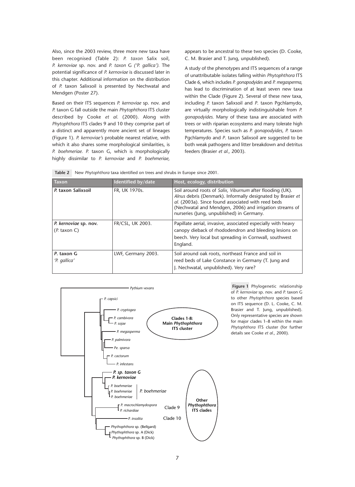Also, since the 2003 review, three more new taxa have been recognised (Table 2): *P. taxon* Salix soil, *P. kernoviae* sp. nov. and *P. taxon* G *('P. gallica').* The potential significance of *P. kernoviae* is discussed later in this chapter. Additional information on the distribution of *P.* taxon Salixsoil is presented by Nechwatal and Mendgen (Poster 27).

Based on their ITS sequences *P. kernoviae* sp. nov. and *P.* taxon G fall outside the main *Phytophthora* ITS cluster described by Cooke *et al.* (2000). Along with *Phytophthora* ITS clades 9 and 10 they comprise part of a distinct and apparently more ancient set of lineages (Figure 1). *P. kernoviae's* probable nearest relative, with which it also shares some morphological similarities, is *P. boehmeriae. P.* taxon G, which is morphologically highly dissimilar to *P. kernoviae* and *P. boehmeriae,*

appears to be ancestral to these two species (D. Cooke, C. M. Brasier and T. Jung, unpublished).

A study of the phenotypes and ITS sequences of a range of unattributable isolates falling within *Phytophthora* ITS Clade 6, which includes *P. gonapodyides* and *P. megasperma,* has lead to discrimination of at least seven new taxa within the Clade (Figure 2). Several of these new taxa, including *P.* taxon Salixsoil and *P*. taxon Pgchlamydo, are virtually morphologically indistinguishable from *P. gonapodyides.* Many of these taxa are associated with trees or with riparian ecosystems and many tolerate high temperatures. Species such as *P. gonapodyides, P.* taxon Pgchlamydo and *P*. taxon Salixsoil are suggested to be both weak pathogens and litter breakdown and detritus feeders (Brasier *et al.,* 2003).

|  | Table 2 New Phytophthora taxa identified on trees and shrubs in Europe since 2001. |
|--|------------------------------------------------------------------------------------|
|  |                                                                                    |

| <b>Taxon</b>                              | Identified by/date | Host, ecology, distribution                                                                                                                                                                                                                                                            |
|-------------------------------------------|--------------------|----------------------------------------------------------------------------------------------------------------------------------------------------------------------------------------------------------------------------------------------------------------------------------------|
| P. taxon Salixsoil                        | FR, UK 1970s.      | Soil around roots of Salix, Viburnum after flooding (UK).<br>Alnus debris (Denmark). Informally designated by Brasier et<br>al. (2003a). Since found associated with reed beds<br>(Nechwatal and Mendgen, 2006) and irrigation streams of<br>nurseries (Jung, unpublished) in Germany. |
| P. kernoviae sp. nov.<br>$(P.$ taxon $C)$ | FR/CSL, UK 2003.   | Papillate aerial, invasive, associated especially with heavy<br>canopy dieback of rhododendron and bleeding lesions on<br>beech. Very local but spreading in Cornwall, southwest<br>England.                                                                                           |
| P. taxon G<br>'P. gallica'                | LWF, Germany 2003. | Soil around oak roots, northeast France and soil in<br>reed beds of Lake Constance in Germany (T. Jung and<br>J. Nechwatal, unpublished). Very rare?                                                                                                                                   |



**Figure 1** Phylogenetic relationship of *P. kernoviae* sp. nov. and *P.* taxon G to other *Phytophthora* species based on ITS sequence (D. L. Cooke, C. M. Brasier and T. Jung, unpublished). Only representative species are shown for major clades 1–8 within the main *Phytophthora* ITS cluster (for further details see Cooke *et al.,* 2000).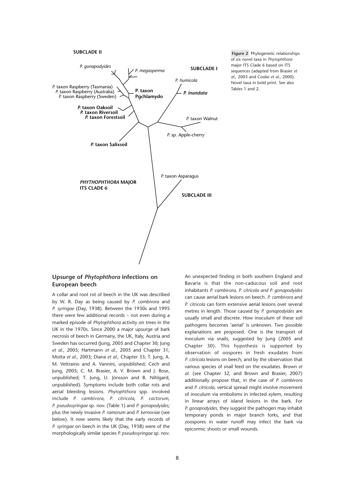#### **SUBCLADE II**



**Figure 2** Phylogenetic relationships of six novel taxa in *Phytophthora* major ITS Clade 6 based on ITS sequences (adapted from Brasier *et al.,* 2003 and Cooke *et al.,* 2000). Novel taxa in bold print. See also Tables 1 and 2.

#### **Upsurge of** *Phytophthora* **infections on European beech**

A collar and root rot of beech in the UK was described by W. R. Day as being caused by *P. cambivora* and *P. syringae* (Day, 1938). Between the 1930s and 1995 there were few additional records – not even during a marked episode of *Phytophthora* activity on trees in the UK in the 1970s. Since 2000 a major upsurge of bark necrosis of beech in Germany, the UK, Italy, Austria and Sweden has occurred (Jung, 2005 and Chapter 30; Jung *et al.,* 2005; Hartmann *et al.,* 2005 and Chapter 31; Motta *et al.,* 2003; Diana *et al.,* Chapter 33; T. Jung, A. M. Vettraino and A. Vannini, unpublished; Cech and Jung, 2005; C. M. Brasier, A. V. Brown and J. Rose, unpublished; T. Jung, U. Jönsson and B. Nihlgard, unpublished). Symptoms include both collar rots and aerial bleeding lesions. *Phytophthora* spp. involved include *P. cambivora, P. citricola, P. cactorum, P. pseudosyringae* sp. nov. (Table 1) and *P. gonapodyides;* plus the newly invasive *P. ramorum* and *P. kernoviae* (see below). It now seems likely that the early records of *P. syringae* on beech in the UK (Day, 1938) were of the morphologically similar species *P. pseudosyringae* sp. nov.

An unexpected finding in both southern England and Bavaria is that the non-caducous soil and root inhabitants *P. cambivora, P. citricola and P. gonapodyides* can cause aerial bark lesions on beech. *P. cambivora* and *P. citricola* can form extensive aerial lesions over several metres in length. Those caused by *P. gonapodyides* are usually small and discrete. How inoculum of these soil pathogens becomes 'aerial' is unknown. Two possible explanations are proposed. One is the transport of inoculum via snails, suggested by Jung (2005 and Chapter 30). This hypothesis is supported by observation of oospores in fresh exudates from *P. citricola* lesions on beech; and by the observation that various species of snail feed on the exudates. Brown *et al.* (see Chapter 32, and Brown and Brasier, 2007) additionally propose that, in the case of *P. cambivora* and *P. citricola,* vertical spread might involve movement of inoculum via embolisms in infected xylem, resulting in linear arrays of island lesions in the bark. For *P. gonapodyides,* they suggest the pathogen may inhabit temporary ponds in major branch forks, and that zoospores in water runoff may infect the bark via epicormic shoots or small wounds.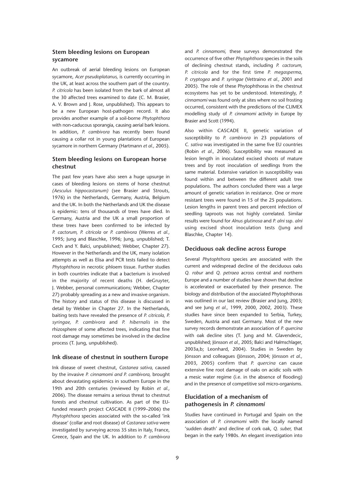#### **Stem bleeding lesions on European sycamore**

An outbreak of aerial bleeding lesions on European sycamore, *Acer pseudoplatanus,* is currently occurring in the UK, at least across the southern part of the country. *P. citricola* has been isolated from the bark of almost all the 30 affected trees examined to date (C. M. Brasier, A. V. Brown and J. Rose, unpublished). This appears to be a new European host-pathogen record. It also provides another example of a soil-borne *Phytophthora* with non-caducous sporangia, causing aerial bark lesions. In addition, *P. cambivora* has recently been found causing a collar rot in young plantations of European sycamore in northern Germany (Hartmann *et al.,* 2005).

#### **Stem bleeding lesions on European horse chestnut**

The past few years have also seen a huge upsurge in cases of bleeding lesions on stems of horse chestnut *(Aesculus hippocastanum)* (see Brasier and Strouts, 1976) in the Netherlands, Germany, Austria, Belgium and the UK. In both the Netherlands and UK the disease is epidemic: tens of thousands of trees have died. In Germany, Austria and the UK a small proportion of these trees have been confirmed to be infected by *P. cactorum, P. citricola* or *P. cambivora* (Werres *et al.,* 1995; Jung and Blaschke, 1996; Jung, unpublished; T. Cech and Y. Balci, unpublished; Webber, Chapter 27). However in the Netherlands and the UK, many isolation attempts as well as Elisa and PCR tests failed to detect *Phytophthora* in necrotic phloem tissue. Further studies in both countries indicate that a bacterium is involved in the majority of recent deaths (H. deGruyter, J. Webber, personal communications; Webber, Chapter 27) probably spreading as a new and invasive organism. The history and status of this disease is discussed in detail by Webber in Chapter 27. In the Netherlands, baiting tests have revealed the presence of *P. citricola, P. syringae, P. cambivora* and *P. hibernalis* in the rhizosphere of some affected trees, indicating that fine root damage may sometimes be involved in the decline process (T. Jung, unpublished).

#### **Ink disease of chestnut in southern Europe**

Ink disease of sweet chestnut, *Castanea sativa,* caused by the invasive *P. cinnamomi and P. cambivora,* brought about devastating epidemics in southern Europe in the 19th and 20th centuries (reviewed by Robin *et al.,* 2006). The disease remains a serious threat to chestnut forests and chestnut cultivation. As part of the EUfunded research project CASCADE II (1999–2006) the *Phytophthora* species associated with the so-called 'ink disease' (collar and root disease) of *Castanea sativa* were investigated by surveying across 35 sites in Italy, France, Greece, Spain and the UK. In addition to *P. cambivora* and *P. cinnamomi,* these surveys demonstrated the occurrence of five other *Phytophthora* species in the soils of declining chestnut stands, including *P. cactorum, P. citricola* and for the first time *P. megasperma, P. cryptogea* and *P. syringae* (Vettraino *et al.,* 2001 and 2005). The role of these Phytophthoras in the chestnut ecosystems has yet to be understood. Interestingly, *P. cinnamomi* was found only at sites where no soil frosting occurred, consistent with the predictions of the CLIMEX modelling study of *P. cinnamomi* activity in Europe by Brasier and Scott (1994).

Also within CASCADE II, genetic variation of susceptibility to *P. cambivora* in 23 populations of *C. sativa* was investigated in the same five EU countries (Robin *et al.,* 2006). Susceptibility was measured as lesion length in inoculated excised shoots of mature trees and by root inoculation of seedlings from the same material. Extensive variation in susceptibility was found within and between the different adult tree populations. The authors concluded there was a large amount of genetic variation in resistance. One or more resistant trees were found in 15 of the 25 populations. Lesion lengths in parent trees and percent infection of seedling taproots was not highly correlated. Similar results were found for *Alnus glutinosa* and *P. alni* ssp. *alni* using excised shoot inoculation tests (Jung and Blaschke, Chapter 14).

#### **Deciduous oak decline across Europe**

Several *Phytophthora* species are associated with the current and widespread decline of the deciduous oaks *Q. robur* and *Q. petraea* across central and northern Europe and a number of studies have shown that decline is accelerated or exacerbated by their presence. The biology and distribution of the associated Phytophthoras was outlined in our last review (Brasier and Jung, 2003; and see Jung *et al.,* 1999, 2000, 2002, 2003). These studies have since been expanded to Serbia, Turkey, Sweden, Austria and east Germany. Most of the new survey records demonstrate an association of *P. quercina* with oak decline sites (T. Jung and M. Glavendecic, unpublished; Jönsson *et al.,* 2005; Balci and Halmschlager, 2003a,b; Leonhard, 2004). Studies in Sweden by Jönsson and colleagues (Jönsson, 2004; Jönsson *et al.,* 2003, 2005) confirm that *P. quercina* can cause extensive fine root damage of oaks on acidic soils with a mesic water regime (i.e. in the absence of flooding) and in the presence of competitive soil micro-organisms.

#### **Elucidation of a mechanism of pathogenesis in** *P. cinnamomi*

Studies have continued in Portugal and Spain on the association of *P. cinnamomi* with the locally named 'sudden death' and decline of cork oak, *Q. suber,* that began in the early 1980s. An elegant investigation into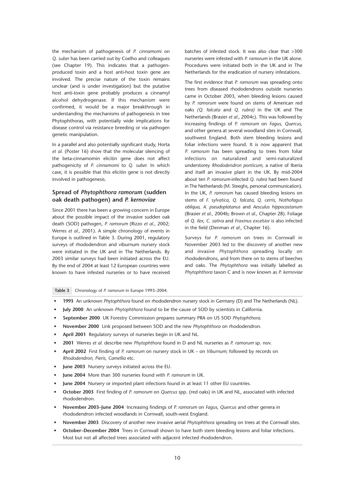the mechanism of pathogenesis of *P. cinnamomi* on *Q. suber* has been carried out by Coelho and colleagues (see Chapter 19). This indicates that a pathogenproduced toxin and a host anti-host toxin gene are involved. The precise nature of the toxin remains unclear (and is under investigation) but the putative host anti-toxin gene probably produces a cinnamyl alcohol dehydrogenase. If this mechanism were confirmed, it would be a major breakthrough in understanding the mechanisms of pathogenesis in tree Phytophthoras, with potentially wide implications for disease control via resistance breeding or via pathogen genetic manipulation.

In a parallel and also potentially significant study, Horta *et al.* (Poster 16) show that the molecular silencing of the beta-cinnamomin elicitin gene does not affect pathogenicity of *P. cinnamomi* to *Q. suber.* In which case, it is possible that this elicitin gene is not directly involved in pathogenesis.

#### **Spread of** *Phytophthora ramorum* **(sudden oak death pathogen) and** *P. kernoviae*

Since 2001 there has been a growing concern in Europe about the possible impact of the invasive sudden oak death (SOD) pathogen, *P. ramorum* (Rizzo *et al.,* 2002; Werres *et al.,* 2001). A simple chronology of events in Europe is outlined in Table 3. During 2001, regulatory surveys of rhododendron and viburnum nursery stock were initiated in the UK and in The Netherlands. By 2003 similar surveys had been initiated across the EU. By the end of 2004 at least 12 European countries were known to have infested nurseries or to have received

batches of infested stock. It was also clear that >300 nurseries were infested with *P. ramorum* in the UK alone. Procedures were initiated both in the UK and in The Netherlands for the eradication of nursery infestations.

The first evidence that *P. ramorum* was spreading onto trees from diseased rhododendrons outside nurseries came in October 2003, when bleeding lesions caused by *P. ramorum* were found on stems of American red oaks *(Q. falcata* and *Q. rubra)* in the UK and The Netherlands (Brasier *et al.,* 2004c). This was followed by increasing findings of *P. ramorum* on *Fagus, Quercus,* and other genera at several woodland sites in Cornwall, southwest England. Both stem bleeding lesions and foliar infections were found. It is now apparent that *P. ramorum* has been spreading to trees from foliar infections on naturalized and semi-naturalized understorey *Rhododendron ponticum,* a native of Iberia and itself an invasive plant in the UK. By mid-2004 about ten *P. ramorum*-infected *Q. rubra* had been found in The Netherlands (M. Steeghs, personal communication). In the UK, *P. ramorum* has caused bleeding lesions on stems of *F. sylvatica, Q. falcata, Q. cerris, Nothofagus obliqua, A. pseudoplatanus* and *Aesculus hippocastanum* (Brasier *et al.,* 2004b; Brown *et al.,* Chapter 28). Foliage of *Q. ilex, C. sativa* and *Fraxinus excelsior* is also infected in the field (Denman *et al.,* Chapter 16).

Surveys for *P. ramorum* on trees in Cornwall in November 2003 led to the discovery of another new and invasive *Phytophthora* spreading locally on rhododendrons, and from there on to stems of beeches and oaks. The *Phytophthora* was initially labelled as *Phytophthora* taxon C and is now known as *P. kernoviae*

**Table 3** Chronology of *P. ramorum* in Europe 1993–2004.

- *•* **1993** An unknown *Phytophthora* found on rhododendron nursery stock in Germany (D) and The Netherlands (NL).
- *•* **July 2000** An unknown *Phytophthora* found to be the cause of SOD by scientists in California.
- *•* **September 2000** UK Forestry Commission prepares summary PRA on US SOD *Phytophthora*.
- *•* **November 2000** Link proposed between SOD and the new *Phytophthora* on rhododendron.
- *•* **April 2001** Regulatory surveys of nurseries begin in UK and NL.
- *•* **2001** Werres *et al.* describe new *Phytophthora* found in D and NL nurseries as *P. ramorum* sp. nov.
- *•* **April 2002** First finding of *P. ramorum* on nursery stock in UK on *Viburnum*; followed by records on *Rhododendron, Pieris, Camellia* etc.
- *•* **June 2003** Nursery surveys initiated across the EU.
- *•* **June 2004** More than 300 nurseries found with *P. ramorum* in UK.
- *•* **June 2004** Nursery or imported plant infections found in at least 11 other EU countries.
- *•* **October 2003** First finding of *P. ramorum* on *Quercus* spp. (red oaks) in UK and NL, associated with infected rhododendron.
- *•* **November 2003–June 2004** Increasing findings of *P. ramorum* on *Fagus, Quercus* and other genera in rhododendron infected woodlands in Cornwall, south-west England.
- *•* **November 2003** Discovery of another new invasive aerial *Phytophthora* spreading on trees at the Cornwall sites.
- *•* **October–December 2004** Trees in Cornwall shown to have both stem bleeding lesions and foliar infections. Most but not all affected trees associated with adjacent infected rhododendron.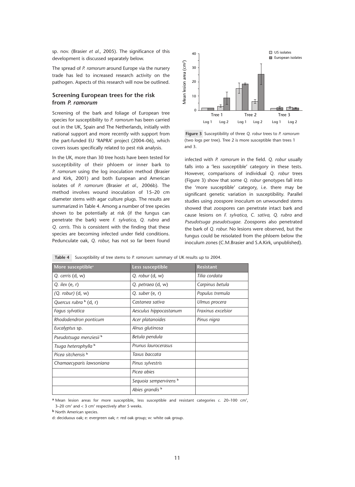sp. nov. (Brasier *et al.,* 2005). The significance of this development is discussed separately below.

The spread of *P. ramorum* around Europe via the nursery trade has led to increased research activity on the pathogen. Aspects of this research will now be outlined.

#### **Screening European trees for the risk from** *P. ramorum*

Screening of the bark and foliage of European tree species for susceptibility to *P. ramorum* has been carried out in the UK, Spain and The Netherlands, initially with national support and more recently with support from the part-funded EU 'RAPRA' project (2004–06), which covers issues specifically related to pest risk analysis.

In the UK, more than 30 tree hosts have been tested for susceptibility of their phloem or inner bark to *P. ramorum* using the log inoculation method (Brasier and Kirk, 2001) and both European and American isolates of *P. ramorum* (Brasier *et al.,* 2006b). The method involves wound inoculation of 15–20 cm diameter stems with agar culture plugs. The results are summarized in Table 4. Among a number of tree species shown to be potentially at risk (if the fungus can penetrate the bark) were *F. sylvatica, Q. rubra* and *Q. cerris.* This is consistent with the finding that these species are becoming infected under field conditions. Pedunculate oak, *Q. robur,* has not so far been found



**Figure 3** Susceptibility of three *Q. robur* trees to *P. ramorum* (two logs per tree). Tree 2 is more susceptible than trees 1 and 3.

infected with *P. ramorum* in the field. *Q. robur* usually falls into a 'less susceptible' category in these tests. However, comparisons of individual *Q. robur* trees (Figure 3) show that some *Q. robur* genotypes fall into the 'more susceptible' category, i.e. there may be significant genetic variation in susceptibility. Parallel studies using zoospore inoculum on unwounded stems showed that zoospores can penetrate intact bark and cause lesions on *F. sylvatica, C. sativa, Q. rubra* and *Pseudotsuga pseudotsugae.* Zoospores also penetrated the bark of *Q. robur.* No lesions were observed, but the fungus could be reisolated from the phloem below the inoculum zones (C.M.Brasier and S.A.Kirk, unpublished).

|  |  |  |  | Table $4\,$ Susceptibility of tree stems to P. ramorum: summary of UK results up to 2004. |
|--|--|--|--|-------------------------------------------------------------------------------------------|
|--|--|--|--|-------------------------------------------------------------------------------------------|

| More susceptible <sup>a</sup> | Less susceptible           | <b>Resistant</b>   |
|-------------------------------|----------------------------|--------------------|
| Q. cerris (d, w)              | $Q.$ robur $(d, w)$        | Tilia cordata      |
| Q. ilex $(e, r)$              | Q. petraea (d, w)          | Carpinus betula    |
| $(Q.$ robur) $(d, w)$         | Q. suber $(e, r)$          | Populus tremula    |
| Quercus rubra b (d, r)        | Castanea sativa            | Ulmus procera      |
| Fagus sylvatica               | Aesculus hippocastanum     | Fraxinus excelsior |
| Rhododendron ponticum         | Acer platanoides           | Pinus nigra        |
| Eucalyptus sp.                | Alnus glutinosa            |                    |
| Pseudotsuga menziesii b       | Betula pendula             |                    |
| Tsuga heterophylla b          | Prunus laurocerasus        |                    |
| Picea sitchensis b            | Taxus baccata              |                    |
| Chamaecyparis lawsoniana      | Pinus sylvestris           |                    |
|                               | Picea abies                |                    |
|                               | Sequoia sempervirens b     |                    |
|                               | Abies grandis <sup>b</sup> |                    |

a Mean lesion areas for more susceptible, less susceptible and resistant categories c. 20-100 cm<sup>2</sup>, 3–20 cm<sup>2</sup> and < 3 cm<sup>2</sup> respectively after 5 weeks.

**<sup>b</sup>** North American species.

d: deciduous oak; e: evergreen oak; r: red oak group; w: white oak group.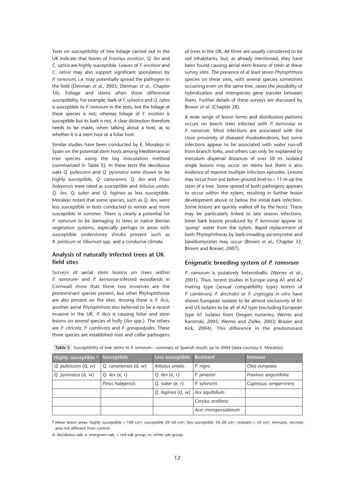Tests on susceptibility of tree foliage carried out in the UK indicate that leaves of *Fraxinus excelsior*, *Q. ilex* and *C. sativa* are highly susceptible. Leaves of *F. excelsior* and *C. sativa* may also support significant sporulation by *P. ramorum,* i.e. may potentially spread the pathogen in the field (Denman *et al.,* 2005; Denman *et al.,* Chapter 16). Foliage and stems often show differential susceptibility. For example, bark of *F. sylvatica* and *Q. rubra* is susceptible to *P. ramorum* in the tests, but the foliage of these species is not; whereas foliage of *F. excelsior* is susceptible but its bark is not. A clear distinction therefore needs to be made, when talking about a host, as to whether it is a stem host or a foliar host.

Similar studies have been conducted by E. Moralejo in Spain on the potential stem hosts among Mediterranean tree species using the log inoculation method (summarized in Table 5). In these tests the deciduous oaks *Q. pubescens* and *Q. pyrenaica* were shown to be highly susceptible, *Q. canariensis, Q. ilex* and *Pinus halepensis* were rated as susceptible and *Arbutus unedo, Q. ilex, Q. suber* and *Q. faginea* as less susceptible. Moralejo noted that some species, such as *Q. ilex,* were less susceptible in tests conducted in winter and more susceptible in summer. There is clearly a potential for *P. ramorum* to be damaging to trees in native Iberian vegetation systems, especially perhaps in areas with susceptible understorey shrubs present such as *R. ponticum* or *Viburnum* spp. and a conducive climate.

#### **Analysis of naturally infected trees at UK field sites**

Surveys of aerial stem lesions on trees within *P. ramorum*- and *P. kernoviae*-infested woodlands in Cornwall show that these two invasives are the predominant species present, but other Phytophthoras are also present on the sites. Among these is *P. ilicis*, another aerial *Phytophthora* also believed to be a recent invasive in the UK. *P. ilicis* is causing foliar and stem lesions on several species of holly (*Ilex* spp.). The others are *P. citricola, P. cambivora* and *P. gonapodyides.* These three species are established root and collar pathogens of trees in the UK. All three are usually considered to be soil inhabitants, but, as already mentioned, they have been found causing aerial stem lesions of trees at these survey sites. The presence of at least seven *Phytophthora* species on these sites, with several species sometimes occurring even on the same tree, raises the possibility of hybridization and interspecies gene transfer between them. Further details of these surveys are discussed by Brown *et al.* (Chapter 28).

A wide range of lesion forms and distribution patterns occurs on beech trees infected with *P. kernoviae* or *P. ramorum.* Most infections are associated with the close proximity of diseased rhododendrons, but some infections appear to be associated with water run-off from branch forks, and others can only be explained by inoculum dispersal distances of over 50 m. Isolated single lesions may occur on stems but there is also evidence of massive multiple infection episodes. Lesions may occur from just below ground level to  $> 11$  m up the stem of a tree. Some spread of both pathogens appears to occur within the xylem, resulting in further lesion development above or below the initial bark infection. Some lesions are quickly walled off by the hosts. These may be particularly linked to late season infections. Inner bark lesions produced by *P. kernoviae* appear to 'pump' water from the xylem. Rapid replacement of both Phytophthoras by bark-invading ascomycetes and basidiomycetes may occur (Brown *et al.,* Chapter 32; Brown and Brasier, 2007).

#### **Enigmatic breeding system of** *P. ramorum*

*P. ramorum* is putatively heterothallic (Werres *et al.,* 2001). Thus, recent studies in Europe using A1 and A2 mating type (sexual compatibility type) testers of *P. cambivora, P. drechsleri* or *P. cryptogea in vitro* have shown European isolates to be almost exclusively of A1 and US isolates to be all of A2 type (excluding European type A1 isolates from Oregon nurseries; Werres and Kaminski, 2005; Werres and Zielke, 2003; Brasier and Kirk, 2004). This difference in the predominant

| Highly susceptible a | Susceptible           | Less susceptible Resistant |                     | Immune                 |
|----------------------|-----------------------|----------------------------|---------------------|------------------------|
| Q. pubescens (d, w)  | Q. canarienses (d, w) | Arbutus unedo              | P. nigra            | Olea europaea          |
| Q. pyrenaica (d, w)  | Q. ilex $(e, r)$      | Q. ilex $(e, r)$           | P. pinaster         | Fraxinus angustifolia  |
|                      | Pinus halepensis      | Q. suber $(e, r)$          | P. sylvestris       | Cupressus sempervirens |
|                      |                       | Q. faginea (d, w)          | Ilex aquifolium     |                        |
|                      |                       |                            | Corylus avellana    |                        |
|                      |                       |                            | Acer monspessulanum |                        |

**Table 5** Susceptibility of tree stems to *P. ramorum* – summary of Spanish results up to 2004 (data courtesy E. Moralejo).

a Mean lesion areas: highly susceptible > 100 cm<sup>2</sup>; susceptible 20–50 cm<sup>2</sup>; less susceptible 10–20 cm<sup>2</sup>; resistant < 10 cm<sup>2</sup>; immune, necrotic area not different from control.

d: deciduous oak; e: evergreen oak; r: red oak group; w: white oak group.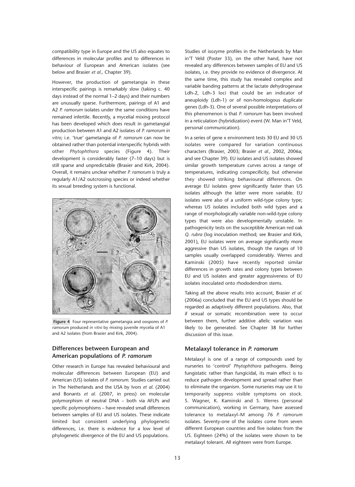compatibility type in Europe and the US also equates to differences in molecular profiles and to differences in behaviour of European and American isolates (see below and Brasier *et al.,* Chapter 39).

However, the production of gametangia in these interspecific pairings is remarkably slow (taking c. 40 days instead of the normal 1–2 days) and their numbers are unusually sparse. Furthermore, pairings of A1 and A2 *P. ramorum* isolates under the same conditions have remained infertile. Recently, a mycelial mixing protocol has been developed which does result in gametangial production between A1 and A2 isolates of *P. ramorum in vitro;* i.e. 'true' gametangia of *P. ramorum* can now be obtained rather than potential interspecific hybrids with other *Phytophthora* species (Figure 4). Their development is considerably faster (7–10 days) but is still sparse and unpredictable (Brasier and Kirk, 2004). Overall, it remains unclear whether *P. ramorum* is truly a regularly A1/A2 outcrossing species or indeed whether its sexual breeding system is functional.



**Figure 4** Four representative gametangia and oospores of *P. ramorum* produced *in vitro* by mixing juvenile mycelia of A1 and A2 isolates (from Brasier and Kirk, 2004).

#### **Differences between European and American populations of** *P. ramorum*

Other research in Europe has revealed behavioural and molecular differences between European (EU) and American (US) isolates of *P. ramorum.* Studies carried out in The Netherlands and the USA by Ivors *et al*. (2004) and Bonants *et al.* (2007, in press) on molecular polymorphism of neutral DNA – both via AFLPs and specific polymorphisms – have revealed small differences between samples of EU and US isolates. These indicate limited but consistent underlying phylogenetic differences, i.e. there is evidence for a low level of phylogenetic divergence of the EU and US populations.

Studies of isozyme profiles in the Netherlands by Man in'T Veld (Poster 33), on the other hand, have not revealed any differences between samples of EU and US isolates, i.e. they provide no evidence of divergence. At the same time, this study has revealed complex and variable banding patterns at the lactate dehydrogenase Ldh-2, Ldh-3 loci that could be an indicator of aneuploidy (Ldh-1) or of non-homologous duplicate genes (Ldh-3). One of several possible interpretations of this phenomenon is that *P. ramorum* has been involved in a reticulation (hybridization) event (W. Man in'T Veld, personal communication).

In a series of gene x environment tests 30 EU and 30 US isolates were compared for variation continuous characters (Brasier, 2003; Brasier *et al.,* 2002, 2006a; and see Chapter 39). EU isolates and US isolates showed similar growth temperature curves across a range of temperatures, indicating conspecificity, but otherwise they showed striking behavioural differences. On average EU isolates grew significantly faster than US isolates although the latter were more variable. EU isolates were also of a uniform wild-type colony type; whereas US isolates included both wild types and a range of morphologically variable non-wild-type colony types that were also developmentally unstable. In pathogenicity tests on the susceptible American red oak *Q. rubra* (log inoculation method; see Brasier and Kirk, 2001), EU isolates were on average significantly more aggressive than US isolates, though the ranges of 10 samples usually overlapped considerably. Werres and Kaminski (2005) have recently reported similar differences in growth rates and colony types between EU and US isolates and greater aggressiveness of EU isolates inoculated onto rhododendron stems.

Taking all the above results into account, Brasier *et al.* (2006a) concluded that the EU and US types should be regarded as adaptively different populations. Also, that if sexual or somatic recombination were to occur between them, further additive allelic variation was likely to be generated. See Chapter 38 for further discussion of this issue.

#### **Metalaxyl tolerance in** *P. ramorum*

Metalaxyl is one of a range of compounds used by nurseries to 'control' *Phytophthora* pathogens. Being fungistatic rather than fungicidal, its main effect is to reduce pathogen development and spread rather than to eliminate the organism. Some nurseries may use it to temporarily suppress visible symptoms on stock. S. Wagner, K. Kaminski and S. Werres (personal communication), working in Germany, have assessed tolerance to metalaxyl–M among 76 *P. ramorum* isolates. Seventy-one of the isolates come from seven different European countries and five isolates from the US. Eighteen (24%) of the isolates were shown to be metalaxyl tolerant. All eighteen were from Europe.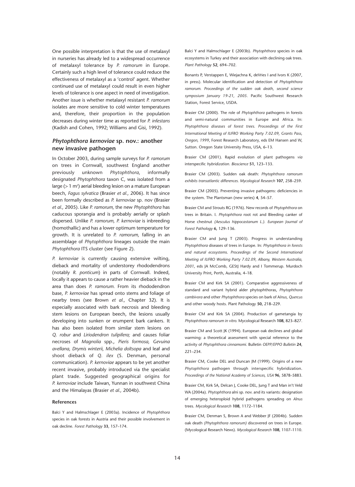One possible interpretation is that the use of metalaxyl in nurseries has already led to a widespread occurrence of metalaxyl tolerance by *P. ramorum* in Europe. Certainly such a high level of tolerance could reduce the effectiveness of metalaxyl as a 'control' agent. Whether continued use of metalaxyl could result in even higher levels of tolerance is one aspect in need of investigation. Another issue is whether metalaxyl resistant *P. ramorum* isolates are more sensitive to cold winter temperatures and, therefore, their proportion in the population decreases during winter time as reported for *P. infestans* (Kadish and Cohen, 1992; Williams and Gisi, 1992).

#### *Phytophthora kernoviae* **sp. nov.: another new invasive pathogen**

In October 2003, during sample surveys for *P. ramorum* on trees in Cornwall, southwest England another previously unknown *Phytophthora*, informally designated *Phytophthora* taxon C, was isolated from a large ( $>1$  m<sup>2</sup>) aerial bleeding lesion on a mature European beech, *Fagus sylvatica* (Brasier *et al.,* 2006). It has since been formally described as *P. kernoviae* sp. nov (Brasier *et al.,* 2005). Like *P. ramorum,* the new *Phytophthora* has caducous sporangia and is probably aerially or splash dispersed. Unlike *P. ramorum, P. kernoviae* is inbreeding (homothallic) and has a lower optimum temperature for growth. It is unrelated to *P. ramorum,* falling in an assemblage of *Phytophthora* lineages outside the main *Phytophthora* ITS cluster (see Figure 2).

*P. kernoviae* is currently causing extensive wilting, dieback and mortality of understorey rhododendrons (notably *R. ponticum*) in parts of Cornwall. Indeed, locally it appears to cause a rather heavier dieback in the area than does *P. ramorum.* From its rhododendron base, *P. kernoviae* has spread onto stems and foliage of nearby trees (see Brown *et al.,* Chapter 32). It is especially associated with bark necrosis and bleeding stem lesions on European beech, the lesions usually developing into sunken or erumpent bark cankers. It has also been isolated from similar stem lesions on *Q. robur* and *Liriodendron tulipifera;* and causes foliar necroses of *Magnolia* spp., *Pieris formosa, Gevuina avellana, Drymis winterii, Michelia doltsopa* and leaf and shoot dieback of *Q. ilex* (S. Denman, personal communication). *P. kernoviae* appears to be yet another recent invasive, probably introduced via the specialist plant trade. Suggested geographical origins for *P. kernoviae* include Taiwan, Yunnan in southwest China and the Himalayas (Brasier *et al.,* 2004b).

#### **References**

Balci Y and Halmschlager E (2003a). Incidence of *Phytophthora* species in oak forests in Austria and their possible involvement in oak decline. *Forest Pathology* **33**, 157–174.

Balci Y and Halmschlager E (2003b). *Phytophthora* species in oak ecosystems in Turkey and their association with declining oak trees. *Plant Pathology* **52**, 694–702.

Bonants P, Verstappen E, Wiejachna K, deVries I and Ivors K (2007, in press). Molecular identification and detection of *Phytophthora ramorum. Proceedings of the sudden oak death, second science symposium January 19-21, 2005.* Pacific Southwest Research Station, Forest Service, USDA.

Brasier CM (2000). The role of *Phytophthora* pathogens in forests and semi-natural communities in Europe and Africa. In: *Phytophthora diseases of forest trees. Proceedings of the First International Meeting of IUFRO Working Party 7.02.09*, *Grants Pass, Oregon, 1999*, Forest Research Laboratory, eds EM Hansen and W, Sutton. Oregon State University Press, USA, 6–13.

Brasier CM (2001). Rapid evolution of plant pathogens *via* interspecific *hybridization. Bioscience* **51**, 123–133.

Brasier CM (2003). Sudden oak death: *Phytophthora ramorum exhibits transatlantic differences. Mycological Research* **107**, 258–259.

Brasier CM (2005). Preventing invasive pathogens: deficiencies in the system. The Plantsman (new series) **4**, 54–57.

Brasier CM and Strouts RG (1976). New records of *Phytophthora* on trees in Britain. I. *Phytophthora* root rot and Bleeding canker of Horse chestnut *(Aesculus hippocastanum L.)*. *European Journal of Forest Pathology* **6,** 129–136.

Brasier CM and Jung T (2003). Progress in understanding *Phytophthora* diseases of trees in Europe. In: *Phytophthora in forests and natural ecosystems*. *Proceedings of the Second International Meeting of IUFRO Working Party 7.02.09*, *Albany, Western Australia, 2001*, eds JA McComb, GEStJ Hardy and I Tommerup. Murdoch University Print, Perth, Australia, 4–18.

Brasier CM and Kirk SA (2001). Comparative aggressiveness of standard and variant hybrid alder phytophthoras, *Phytophthora cambivora* and other *Phytophthora* species on bark of A*lnus, Quercus* and other woody hosts. Plant Pathology **50,** 218–229.

Brasier CM and Kirk SA (2004). Production of gametangia by *Phytophthora ramorum in vitro.* Mycological Research **108**, 823–827.

Brasier CM and Scott JK (1994). European oak declines and global warming: a theoretical assessment with special reference to the activity of *Phytophthora cinnamomi.* Bulletin *OEPP/EPPO Bulletin* **24**, 221–234.

Brasier CM, Cooke DEL and Duncan JM (1999). Origins of a new *Phytophthora* pathogen through interspecific hybridization. *Proceedings of the National Academy of Sciences, USA* **96**, 5878–5883.

Brasier CM, Kirk SA, Delcan J, Cooke DEL, Jung T and Man in't Veld WA (2004a). *Phytophthora* alni sp. nov. and its variants: designation of emerging heteroploid hybrid pathogens spreading on *Alnus* trees. *Mycological Research* **108**, 1172–1184.

Brasier CM, Denman S, Brown A and Webber JF (2004b). Sudden oak death *(Phytophthora ramorum)* discovered on trees in Europe. (Mycological Research News). *Mycological Research* **108**, 1107–1110.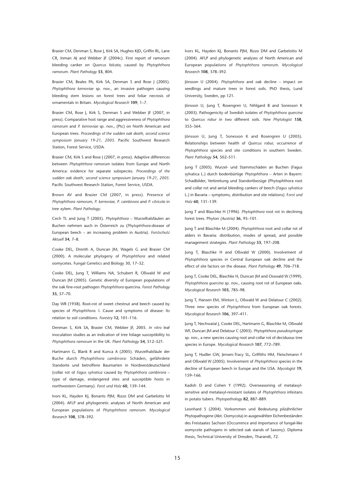Brasier CM, Denman S, Rose J, Kirk SA, Hughes KJD, Griffin RL, Lane CR, Inman AJ and Webber JF (2004c). First report of ramorum bleeding canker on *Quercus falcata,* caused by *Phytophthora ramorum. Plant Pathology* **53**, 804.

Brasier CM, Beales PA, Kirk SA, Denman S and Rose I (2005). *Phytophthora kernoviae* sp. nov., an invasive pathogen causing bleeding stem lesions on forest trees and foliar necrosis of ornamentals in Britain. *Mycological Research* **109**, 1–7.

Brasier CM, Rose J, Kirk S, Denman S and Webber JF (2007, in press). Comparative host range and aggressiveness of *Phytophthora ramorum* and *P. kernoviae* sp. nov., (Ptc) on North American and European trees. *Proceedings of the sudden oak death, second science symposium January 19-21, 2005.* Pacific Southwest Research Station, Forest Service, USDA.

Brasier CM, Kirk S and Rose J (2007, in press). Adaptive differences between *Phytophthora ramorum* isolates from Europe and North America: evidence for separate subspecies. *Proceedings of the sudden oak death, second science symposium January 19-21, 2005.* Pacific Southwest Research Station, Forest Service, USDA.

Brown AV and Brasier CM (2007, in press). Presence of *Phytophthora ramorum, P. kernoviae, P. cambivora* and *P. citricola* in tree xylem. *Plant Pathology*.

Cech TL and Jung T (2005). *Phytophthora* – Wurzelhalsfäulen an Buchen nehmen auch in Österreich zu (*Phytophthora*-disease of European beech – an increasing problem in Austria). *Forstschutz Aktuell* **34**, 7–8.

Cooke DEL, Drenth A, Duncan JM, Wagels G and Brasier CM (2000). A molecular phylogeny of *Phytophthora* and related oomycetes. Fungal Genetics and Biology 30, 17–32.

Cooke DEL, Jung T, Williams NA, Schubert R, Oßwald W and Duncan JM (2005). Genetic diversity of European populations of the oak fine-root pathogen *Phytophthora* quercina. *Forest Pathology* **35**, 57–70.

Day WR (1938). Root-rot of sweet chestnut and beech caused by species of *Phytophthora*. I. Cause and symptoms of disease: Its relation to soil conditions. *Forestry* **12,** 101–116.

Denman S, Kirk SA, Brasier CM, Webber JF, 2005. *In vitro* leaf inoculation studies as an indication of tree foliage susceptibility to *Phytophthora ramorum* in the UK. *Plant Pathology* **54**, 512–521.

Hartmann G, Blank R and Kunca A (2005). Wurzelhalsfäule der Buche durch *Phytophthora cambivora:* Schäden, gefährdete Standorte und betroffene Baumarten in Nordwestdeutschland (collar rot of *Fagus sylvatica* caused by *Phytophthora cambivora* – type of damage, endangered sites and susceptible hosts in northwestern Germany). *Forst und Holz* **60**, 139–144.

Ivors KL, Hayden KJ, Bonants PJM, Rizzo DM and Garbelotto M (2004). AFLP and phylogenetic analyses of North American and European populations of *Phytophthora ramorum. Mycological Research* **108**, 378–392.

Ivors KL, Hayden KJ, Bonants PJM, Rizzo DM and Garbelotto M (2004). AFLP and phylogenetic analyses of North American and European populations of *Phytophthora ramorum. Mycological Research* **108**, 378–392.

Jönsson U (2004). *Phytophthora* and oak decline – impact on seedlings and mature trees in forest soils. PhD thesis, Lund University, Sweden, pp 121.

Jönsson U, Jung T, Rosengren U, Nihlgard B and Sonesson K (2003). Pathogenicity of Swedish isolates of *Phytophthora quercina* to *Quercus robur* in two different soils. *New Phytologist* **158**, 355–364.

Jönsson U, Jung T, Sonesson K and Rosengren U (2005). Relationships between health of *Quercus robur,* occurrence of *Phytophthora* species and site conditions in southern Sweden. *Plant Pathology* **54**, 502–511.

Jung T (2005). Wurzel- und Stammschäden an Buchen (Fagus sylvatica L.) durch bodenbürtige *Phytophthora* – Arten in Bayern: Schadbilder, Verbreitung und Standortbezüge (Phytophthora root and collar rot and aerial bleeding cankers of beech (*Fagus sylvatica* L.) in Bavaria – symptoms, distribution and site relations). F*orst und Holz* **60**, 131–139.

Jung T and Blaschke H (1996). *Phytophthora* root rot in declining forest trees. Phyton *(Austria)* **36**, 95–101.

Jung T and Blaschke M (2004). *Phytophthora* root and collar rot of alders in Bavaria: distribution, modes of spread, and possible management strategies. *Plant Pathology* **53**, 197–208.

Jung T, Blaschke H and Oßwald W (2000). Involvement of *Phytophthora* species in Central European oak decline and the effect of site factors on the disease. *Plant Pathology* **49**, 706–718.

Jung T, Cooke DEL, Blaschke H, Duncan JM and Osswald W (1999). *Phytophthora quercina* sp. nov., causing root rot of European oaks. *Mycological Research* **103**, 785–98.

Jung T, Hansen EM, Winton L, Oßwald W and Delatour C (2002). Three new species of *Phytophthora* from European oak forests. *Mycological Research* **106**, 397–411.

Jung T, Nechwatal J, Cooke DEL, Hartmann G, Blaschke M, Oßwald WF, Duncan JM and Delatour C (2003). *Phytophthora pseudosyringae* sp. nov., a new species causing root and collar rot of deciduous tree species in Europe. *Mycological Research* **107**, 772–789.

Jung T, Hudler GW, Jensen-Tracy SL, Griffiths HM, Fleischmann F and Oßwald W (2005). Involvement of *Phytophthora* species in the decline of European beech in Europe and the USA. *Mycologist* **19**, 159–166.

Kadish D and Cohen Y (1992). Overseasoning of metalaxylsensitive and metalaxyl-resistant isolates of *Phytophthora* infestans in potato tubers. *Phytopathology* **82**, 887–889.

Leonhard S (2004). Vorkommen und Bedeutung pilzähnlicher Phytopathogene (Abt. Oomycota) in ausgewählten Eichenbeständen des Freistaates Sachsen (Occurrence and importance of fungal-like oomycete pathogens in selected oak stands of Saxony). Diploma thesis, Technical University of Dresden, Tharandt, 72.